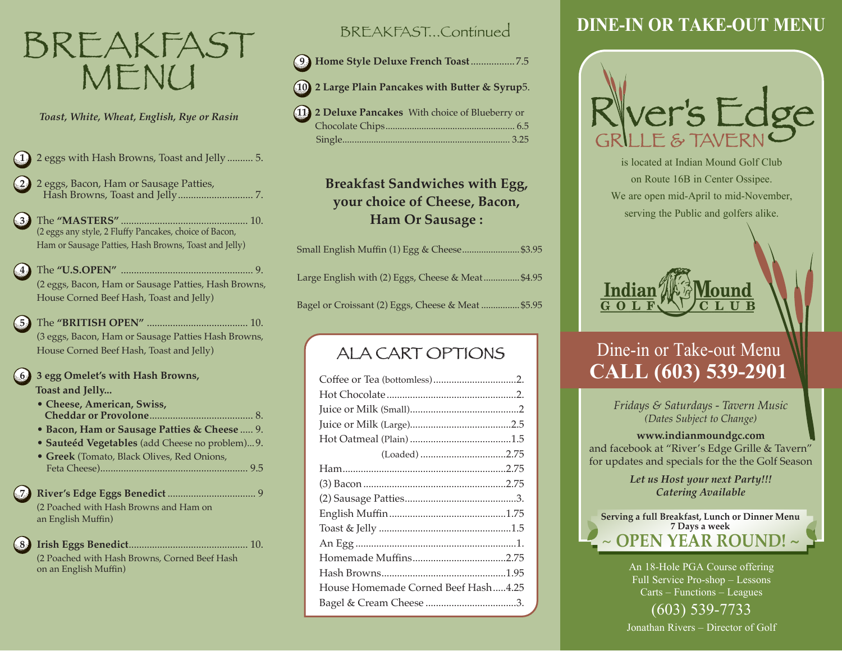# BREAKFAST MENU

*Toast, White, Wheat, English, Rye or Rasin*

- **1** 2 eggs with Hash Browns, Toast and Jelly.......... 5.
- **2** 2 eggs, Bacon, Ham or Sausage Patties, Hash Browns, Toast and Jelly............................. 7.
- **3** The **"MASTERS"** ................................................. 10. (2 eggs any style, 2 Fluffy Pancakes, choice of Bacon, Ham or Sausage Patties, Hash Browns, Toast and Jelly)
- **4** The **"U.S.OPEN"** ................................................... 9. (2 eggs, Bacon, Ham or Sausage Patties, Hash Browns, House Corned Beef Hash, Toast and Jelly)
- **5** The **"BRITISH OPEN"** ....................................... 10. (3 eggs, Bacon, Ham or Sausage Patties Hash Browns, House Corned Beef Hash, Toast and Jelly)

**6 3 egg Omelet's with Hash Browns, Toast and Jelly...**

- **Cheese, American, Swiss, Cheddar or Provolone**........................................ 8.
- **Bacon, Ham or Sausage Patties & Cheese** ..... 9. • **Sauteéd Vegetables** (add Cheese no problem)...9.
- • **Greek** (Tomato, Black Olives, Red Onions, Feta Cheese)......................................................... 9.5

**7 River's Edge Eggs Benedict** .................................. 9 (2 Poached with Hash Browns and Ham on an English Muffin)

**8 Irish Eggs Benedict**.............................................. 10. (2 Poached with Hash Browns, Corned Beef Hash on an English Muffin)

### BREAKFAST...Continued

 **9 Home Style Deluxe French Toast**.................7.5

- **10 2 Large Plain Pancakes with Butter & Syrup**5.
- **11 2 Deluxe Pancakes** With choice of Blueberry or Chocolate Chips...................................................... 6.5 Single...................................................................... 3.25

### **Breakfast Sandwiches with Egg, your choice of Cheese, Bacon, Ham Or Sausage :**

| Small English Muffin (1) Egg & Cheese \$3.95       |  |
|----------------------------------------------------|--|
| Large English with (2) Eggs, Cheese & Meat\$4.95   |  |
| Bagel or Croissant (2) Eggs, Cheese & Meat  \$5.95 |  |

ALA CART OPTIONS

| House Homemade Corned Beef Hash4.25 |
|-------------------------------------|
|                                     |

# **DINE-IN OR TAKE-OUT MENU**



is located at Indian Mound Golf Club on Route 16B in Center Ossipee. We are open mid-April to mid-November, serving the Public and golfers alike.



# Dine-in or Take-out Menu **CALL (603) 539-2901**

*Fridays & Saturdays - Tavern Music (Dates Subject to Change)*

#### **www.indianmoundgc.com**

and facebook at "River's Edge Grille & Tavern" for updates and specials for the the Golf Season

> *Let us Host your next Party!!! Catering Available*



An 18-Hole PGA Course offering Full Service Pro-shop – Lessons Carts – Functions – Leagues (603) 539-7733

Jonathan Rivers – Director of Golf